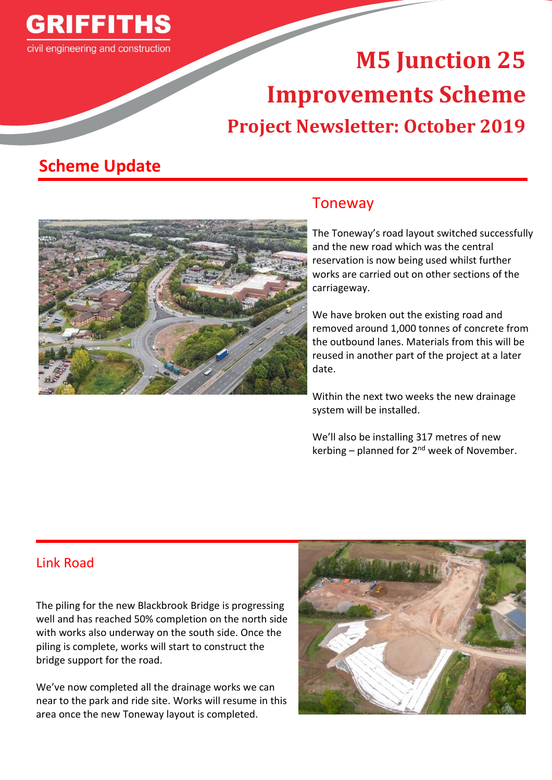

# **M5 Junction 25 Improvements Scheme Project Newsletter: October 2019**

## **Scheme Update**



#### Toneway

The Toneway's road layout switched successfully and the new road which was the central reservation is now being used whilst further works are carried out on other sections of the carriageway.

We have broken out the existing road and removed around 1,000 tonnes of concrete from the outbound lanes. Materials from this will be reused in another part of the project at a later date.

Within the next two weeks the new drainage system will be installed.

We'll also be installing 317 metres of new kerbing – planned for  $2^{nd}$  week of November.

#### Link Road

The piling for the new Blackbrook Bridge is progressing well and has reached 50% completion on the north side with works also underway on the south side. Once the piling is complete, works will start to construct the bridge support for the road.

We've now completed all the drainage works we can near to the park and ride site. Works will resume in this area once the new Toneway layout is completed.